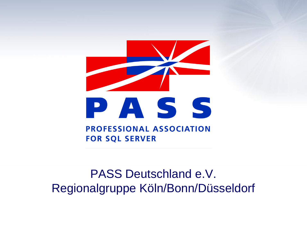

### PASS Deutschland e.V. Regionalgruppe Köln/Bonn/Düsseldorf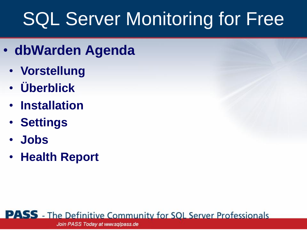- **dbWarden Agenda**
	- **Vorstellung**
	- **Überblick**
	- **Installation**
	- **Settings**
	- **Jobs**
	- **Health Report**

**PASS** - The Definitive Community for SOL Server Professionals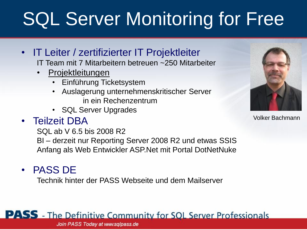- IT Leiter / zertifizierter IT Projektleiter IT Team mit 7 Mitarbeitern betreuen ~250 Mitarbeiter
	- **Projektleitungen** 
		- Einführung Ticketsystem
		- Auslagerung unternehmenskritischer Server in ein Rechenzentrum
		- SQL Server Upgrades
- Teilzeit DBA

SQL ab V 6.5 bis 2008 R2 BI – derzeit nur Reporting Server 2008 R2 und etwas SSIS Anfang als Web Entwickler ASP.Net mit Portal DotNetNuke

• PASS DE

Technik hinter der PASS Webseite und dem Mailserver



Volker Bachmann

### **PASS** - The Definitive Community for SOL Server Professionals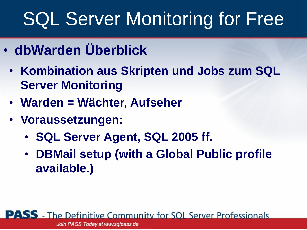- **dbWarden Überblick**
	- **Kombination aus Skripten und Jobs zum SQL Server Monitoring**
	- **Warden = Wächter, Aufseher**
	- **Voraussetzungen:** 
		- **SQL Server Agent, SQL 2005 ff.**
		- **DBMail setup (with a Global Public profile available.)**

**PASS** - The Definitive Community for SOL Server Professionals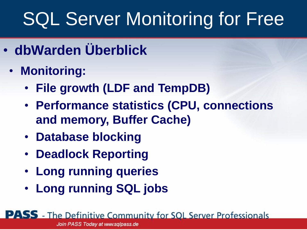- **dbWarden Überblick**
	- **Monitoring:**
		- **File growth (LDF and TempDB)**
		- **Performance statistics (CPU, connections and memory, Buffer Cache)**
		- **Database blocking**
		- **Deadlock Reporting**
		- **Long running queries**
		- **Long running SQL jobs**

**PASS** - The Definitive Community for SOL Server Professionals Join PASS Today at www.sqlpass.de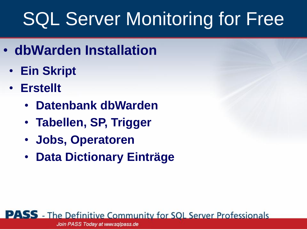- **dbWarden Installation**
	- **Ein Skript**
	- **Erstellt**
		- **Datenbank dbWarden**
		- **Tabellen, SP, Trigger**
		- **Jobs, Operatoren**
		- **Data Dictionary Einträge**

**PASS** - The Definitive Community for SOL Server Professionals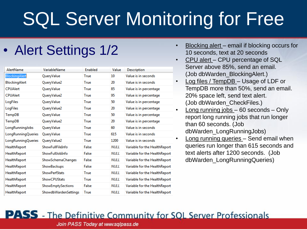| AlertName          | VariableName         | <b>Enabled</b> | Value       | <b>Description</b>            |
|--------------------|----------------------|----------------|-------------|-------------------------------|
| BlockingAlert      | QueryValue           | True           | 10          | Value is in seconds           |
| BlockingAlert      | QueryValue2          | True           | 20          | Value is in seconds           |
| <b>CPUAlert</b>    | QueryValue           | True           | 85          | Value is in percentage        |
| <b>CPUAlert</b>    | QueryValue2          | True           | 95          | Value is in percentage        |
| LogFiles           | QueryValue           | True           | 50          | Value is in percentage        |
| LogFiles           | QueryValue2          | True           | 20          | Value is in percentage        |
| TempDB             | QueryValue           | True           | 50          | Value is in percentage        |
| TempDB             | QueryValue2          | True           | 20          | Value is in percentage        |
| LongRunningJobs    | QueryValue           | True           | 60          | Value is in seconds           |
| LongRunningQueries | QueryValue           | True           | 615         | Value is in seconds           |
| LongRunningQueries | QueryValue2          | True           | 1200        | Value is in seconds           |
| HealthReport       | ShowFullFileInfo     | False          | <b>NULL</b> | Variable for the HealthReport |
| HealthReport       | ShowFullJobInfo      | False          | <b>NULL</b> | Variable for the HealthReport |
| HealthReport       | ShowSchemaChanges    | False          | <b>NULL</b> | Variable for the HealthReport |
| HealthReport       | ShowBackups          | False          | <b>NULL</b> | Variable for the HealthReport |
| HealthReport       | <b>ShowPerfStats</b> | True           | <b>NULL</b> | Variable for the HealthReport |
| HealthReport       | <b>ShowCPUStats</b>  | True           | NULL        | Variable for the HealthReport |
| HealthReport       | ShowEmptySections    | False          | <b>NULL</b> | Variable for the HealthReport |
| HealthReport       | ShowdbWardenSettings | True           | NULL        | Variable for the HealthReport |

- Alert Settings 1/2 **•** Blocking alert email if blocking occurs for 10 seconds, text at 20 seconds
	- CPU alert CPU percentage of SQL Server above 85%, send an email. (Job dbWarden\_BlockingAlert.)
	- Log files / TempDB Usage of LDF or TempDB more than 50%, send an email. 20% space left, send text alert. (Job dbWarden\_CheckFiles.)
	- Long running jobs 60 seconds Only report long running jobs that run longer than 60 seconds. (Job dbWarden\_LongRunningJobs)
		- Long running queries Send email when queries run longer than 615 seconds and text alerts after 1200 seconds. (Job dbWarden\_LongRunningQueries)

#### **PASS** - The Definitive Community for SOL Server Professionals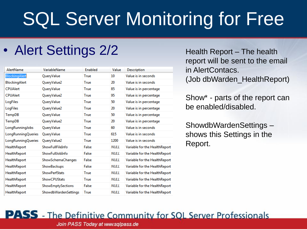### • Alert Settings 2/2 Health Report – The health

| AlertName           | VariableName         | Enabled | Value       | <b>Description</b>            |
|---------------------|----------------------|---------|-------------|-------------------------------|
| BlockingAlert       | QueryValue           | True    | 10          | Value is in seconds           |
| BlockingAlert       | QueryValue2          | True    | 20          | Value is in seconds           |
| <b>CPUAlert</b>     | QueryValue           | True    | 85          | Value is in percentage        |
| <b>CPUAlert</b>     | QueryValue2          | True    | 95          | Value is in percentage        |
| LogFiles            | QueryValue           | True    | 50          | Value is in percentage        |
| LogFiles            | QueryValue2          | True    | 20          | Value is in percentage        |
| TempDB              | QueryValue           | True    | 50          | Value is in percentage        |
| TempDB              | QueryValue2          | True    | 20          | Value is in percentage        |
| LongRunningJobs     | QueryValue           | True    | 60          | Value is in seconds           |
| LongRunningQueries  | QueryValue           | True    | 615         | Value is in seconds           |
| LongRunningQueries  | QueryValue2          | True    | 1200        | Value is in seconds           |
| HealthReport        | ShowFullFileInfo     | False   | <b>NULL</b> | Variable for the HealthReport |
| HealthReport        | ShowFullJobInfo      | False   | <b>NULL</b> | Variable for the HealthReport |
| HealthReport        | ShowSchemaChanges    | False   | <b>NULL</b> | Variable for the HealthReport |
| HealthReport        | ShowBackups          | False   | <b>NULL</b> | Variable for the HealthReport |
| <b>HealthReport</b> | <b>ShowPerfStats</b> | True    | <b>NULL</b> | Variable for the HealthReport |
| HealthReport        | <b>ShowCPUStats</b>  | True    | <b>NULL</b> | Variable for the HealthReport |
| HealthReport        | ShowEmptySections    | False   | NULL        | Variable for the HealthReport |
| HealthReport        | ShowdbWardenSettings | True    | <b>NULL</b> | Variable for the HealthReport |

report will be sent to the email in AlertContacs. (Job dbWarden\_HealthReport)

Show\* - parts of the report can be enabled/disabled.

ShowdbWardenSettings – shows this Settings in the Report.

#### **PASS** - The Definitive Community for SOL Server Professionals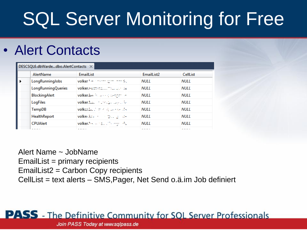### • Alert Contacts

| DESCSQL6.dbWardedbo.AlertContacts X |                           |                                |             |             |  |  |  |
|-------------------------------------|---------------------------|--------------------------------|-------------|-------------|--|--|--|
|                                     | AlertName                 | <b>EmailList</b>               | EmailList2  | CellList    |  |  |  |
| ▶                                   | LongRunningJobs           | volker has the company model.  | NULL        | <b>NULL</b> |  |  |  |
|                                     | <b>LongRunningQueries</b> |                                | NULL        | NULL        |  |  |  |
|                                     | <b>BlockingAlert</b>      | volker.bash.com/section.com/se | NULL        | NULL        |  |  |  |
|                                     | LogFiles                  | volker.backmand.background     | NUI L       | NULL        |  |  |  |
|                                     | TempDB                    | volkeribe that will possed the | NUI L       | NULL.       |  |  |  |
|                                     | HealthReport              | volker.baker of the group of-  | <b>NULL</b> | NULL.       |  |  |  |
|                                     | <b>CPUAlert</b>           | volker. Search and Montgomer   | NUI L       | NULL.       |  |  |  |
|                                     |                           | -----                          | .   .       | -----       |  |  |  |

Alert Name ~ JobName EmailList = primary recipients EmailList2 = Carbon Copy recipients CellList = text alerts – SMS,Pager, Net Send o.ä.im Job definiert

### **PASS** - The Definitive Community for SOL Server Professionals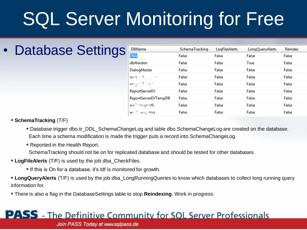### • Database Settings

| <b>DBName</b>         | SchemaTracking | LogFileAlerts | LongQueryAlerts | Reindex |
|-----------------------|----------------|---------------|-----------------|---------|
| <b>DBA</b>            | False          | False         | False           | False   |
| dbWarden              | False          | False         | True            | False   |
| DialogMaster          | False          | False         | False           | False   |
| rang (Rose) and       | False          | False         | False           | False   |
| personal company      | False          | False         | False           | False   |
| <b>ReportServerEV</b> | False          | False         | False           | False   |
| ReportServerEVTempDB  | False          | False         | False           | False   |
| wish lookeredb        | False          | False         | False           | False   |
| Well Carry overs      | False          | False         | False           | False   |

#### **SchemaTracking** (T/F)

- Database trigger dbo.tr\_DDL\_SchemaChangeLog and table dbo.SchemaChangeLog are created on the database. Each time a schema modification is made the trigger puts a record into SchemaChangeLog.
- Reported in the Health Report.

SchemaTracking should not be on for replicated database and should be tested for other databases.

- **LogFileAlerts** (T/F) is used by the job dba CheckFiles.
	- If this is On for a database, it's ldf is monitored for growth.
- **LongQueryAlerts** (T/F) is used by the job dba\_LongRunningQueries to know which databases to collect long running query information for.
- There is also a flag in the DatabaseSettings table to stop **Reindexing**. Work in progress.

#### **PASS** - The Definitive Community for SOL Server Professionals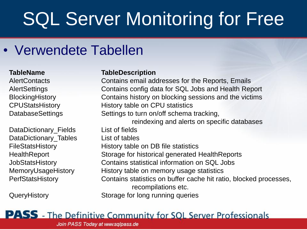### • Verwendete Tabellen

DataDictionary\_Fields List of fields DataDictionary Tables List of tables

#### **TableName TableDescription**

AlertContacts Contains email addresses for the Reports, Emails AlertSettings Contains config data for SQL Jobs and Health Report BlockingHistory Contains history on blocking sessions and the victims CPUStatsHistory History table on CPU statistics DatabaseSettings Settings to turn on/off schema tracking, reindexing and alerts on specific databases FileStatsHistory **History table on DB** file statistics HealthReport Storage for historical generated HealthReports JobStatsHistory Contains statistical information on SQL Jobs MemoryUsageHistory History table on memory usage statistics PerfStatsHistory Contains statistics on buffer cache hit ratio, blocked processes, recompilations etc. QueryHistory Storage for long running queries

### **PASS** - The Definitive Community for SOL Server Professionals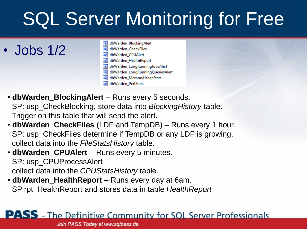• Jobs 1/2

- a dbWarden\_BlockingAlert a dbWarden CheckFiles ag dbWarden\_CPUAlert dbWarden HealthReport dbWarden LongRunningJobsAlert **DG** dbWarden\_LongRunningQueriesAlert dbWarden\_MemoryUsageStats
- dbWarden\_PerfStats
- **dbWarden\_BlockingAlert** Runs every 5 seconds. SP: usp\_CheckBlocking, store data into *BlockingHistory* table. Trigger on this table that will send the alert.
- **dbWarden\_CheckFiles** (LDF and TempDB) Runs every 1 hour. SP: usp\_CheckFiles determine if TempDB or any LDF is growing. collect data into the *FileStatsHistory* table.
- **dbWarden\_CPUAlert** Runs every 5 minutes. SP: usp\_CPUProcessAlert collect data into the *CPUStatsHistory* table.
- **dbWarden\_HealthReport** Runs every day at 6am. SP rpt\_HealthReport and stores data in table *HealthReport*

### **PASS** - The Definitive Community for SOL Server Professionals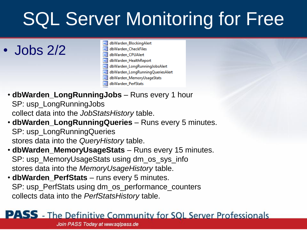• Jobs 2/2

- a dbWarden\_BlockingAlert
- a dbWarden CheckFiles ag dbWarden\_CPUAlert
- dbWarden HealthReport
- dbWarden\_LongRunningJobsAlert **DG**
- dbWarden\_LongRunningQueriesAlert
- dbWarden\_MemoryUsageStats
- dbWarden\_PerfStats
- **dbWarden\_LongRunningJobs** Runs every 1 hour SP: usp\_LongRunningJobs collect data into the *JobStatsHistory* table.
- **dbWarden\_LongRunningQueries** Runs every 5 minutes. SP: usp\_LongRunningQueries stores data into the *QueryHistory* table.
- **dbWarden\_MemoryUsageStats** Runs every 15 minutes. SP: usp\_MemoryUsageStats using dm\_os\_sys\_info stores data into the *MemoryUsageHistory* table.
- **dbWarden\_PerfStats** runs every 5 minutes. SP: usp\_PerfStats using dm\_os\_performance\_counters collects data into the *PerfStatsHistory* table.

### **PASS** - The Definitive Community for SOL Server Professionals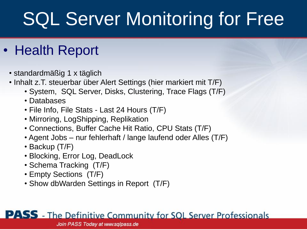### • Health Report

- standardmäßig 1 x täglich
- Inhalt z.T. steuerbar über Alert Settings (hier markiert mit T/F)
	- System, SQL Server, Disks, Clustering, Trace Flags (T/F)
	- Databases
	- File Info, File Stats Last 24 Hours (T/F)
	- Mirroring, LogShipping, Replikation
	- Connections, Buffer Cache Hit Ratio, CPU Stats (T/F)
	- Agent Jobs nur fehlerhaft / lange laufend oder Alles (T/F)
	- Backup (T/F)
	- Blocking, Error Log, DeadLock
	- Schema Tracking (T/F)
	- Empty Sections (T/F)
	- Show dbWarden Settings in Report (T/F)

### **PASS** - The Definitive Community for SQL Server Professionals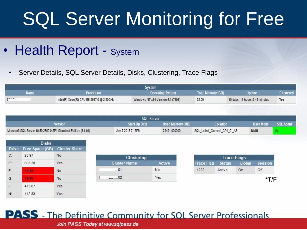- Health Report System
	- Server Details, SQL Server Details, Disks, Clustering, Trace Flags

| System      |                                          |                                   |                   |                                |                  |  |  |  |
|-------------|------------------------------------------|-----------------------------------|-------------------|--------------------------------|------------------|--|--|--|
| <b>Name</b> | Processor                                | <b>Operating System</b>           | Total Memory (GB) | <b>Uptime</b>                  | <b>Clustered</b> |  |  |  |
|             | Intel(R) Xeon(R) CPU E5-2667 0 @ 2.90GHz | Windows NT x64 Version 6.1 (7601) | 32.00             | 10 days, 11 hours & 48 minutes | Yes              |  |  |  |

| <b>SQL Server</b>                                               |                      |                  |                              |           |                  |  |  |  |
|-----------------------------------------------------------------|----------------------|------------------|------------------------------|-----------|------------------|--|--|--|
| Version                                                         | <b>Start Up Date</b> | Used Memory (MB) | Collation                    | User Mode | <b>SQL Agent</b> |  |  |  |
| Microsoft SQL Server 10.50.2500.0 SP1 Standard Edition (64-bit) | Jan 7 2013 7:17PM    | 29491.000000     | SQL_Latin1_General_CP1_CI_AS | Multi     |                  |  |  |  |

| <b>Disks</b> |                 |                      |  |  |  |  |  |  |
|--------------|-----------------|----------------------|--|--|--|--|--|--|
| <b>Drive</b> | Free Space (GB) | <b>Cluster Share</b> |  |  |  |  |  |  |
| $C$ :        | 28.97           | No                   |  |  |  |  |  |  |
| E.           | 693.28          | Yes                  |  |  |  |  |  |  |
| F:           |                 | No                   |  |  |  |  |  |  |
| $G$ :        |                 | No                   |  |  |  |  |  |  |
| Ŀ.           | 473.07          | Yes                  |  |  |  |  |  |  |
| N:           | 442.83          | Yes                  |  |  |  |  |  |  |

| Clustering |                     |        |  |  |  |  |
|------------|---------------------|--------|--|--|--|--|
|            | <b>Cluster Name</b> | Active |  |  |  |  |
|            | 101                 | No     |  |  |  |  |
|            | n2                  | Yes    |  |  |  |  |

| <b>Trace Flag</b> | <b>Status</b> | Global | Session |
|-------------------|---------------|--------|---------|
| 1222              | Active        | On     | Off     |

### **PASS** - The Definitive Community for SQL Server Professionals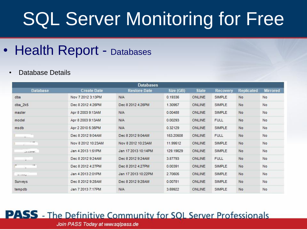• Health Report - Databases

#### • Database Details

| <b>Databases</b> |                                 |                     |           |              |                 |                   |                 |  |
|------------------|---------------------------------|---------------------|-----------|--------------|-----------------|-------------------|-----------------|--|
| <b>Database</b>  | <b>Create Date</b>              | <b>Restore Date</b> | Size (GB) | <b>State</b> | <b>Recovery</b> | <b>Replicated</b> | <b>Mirrored</b> |  |
| dba              | Nov 7 2012 3:13PM               | <b>N/A</b>          | 0.19336   | ONLINE       | SIMPLE          | No                | No              |  |
| $dba_2k5$        | Dec 8 2012 4:26PM               | Dec 8 2012 4:26PM   | 1.30957   | ONLINE       | <b>SIMPLE</b>   | No                | No              |  |
| master           | Apr 8 2003 9:13AM               | <b>N/A</b>          | 0.00488   | ONLINE       | SIMPLE          | No                | No              |  |
| model            | Apr 8 2003 9:13AM               | <b>N/A</b>          | 0.00293   | ONLINE       | <b>FULL</b>     | No                | No              |  |
| msdb             | <b>N/A</b><br>Apr 2 2010 5:35PM |                     | 0.32129   | ONLINE       | SIMPLE          | No                | No              |  |
| ¥.               | Dec 8 2012 9:04AM               | Dec 8 2012 9:04AM   | 153.20508 | ONLINE       | <b>FULL</b>     | No                | No              |  |
| $\mathcal{L} =$  | Nov 8 2012 10:23AM              | Nov 8 2012 10:23AM  | 11.99512  | ONLINE       | <b>SIMPLE</b>   | No                | No              |  |
| $- - - - -$      | Jan 4 2013 1:51PM               | Jan 17 2013 10:14PM | 129.19629 | ONLINE       | <b>SIMPLE</b>   | No                | No              |  |
| ä.               | Dec 8 2012 9:24AM               | Dec 8 2012 9:24AM   | 3.87793   | ONLINE       | <b>FULL</b>     | No                | No              |  |
| 24               | Dec 8 2012 4:27PM               | Dec 8 2012 4:27PM   | 0.00391   | ONLINE       | <b>SIMPLE</b>   | No                | No              |  |
| $---$            | Jan 4 2013 2:01PM               | Jan 17 2013 10:22PM | 2.70605   | ONLINE       | SIMPLE          | No                | No              |  |
| Surveys          | Dec 8 2012 9:28AM               | Dec 8 2012 9:28AM   | 0.00781   | ONLINE       | <b>SIMPLE</b>   | No                | No              |  |
| tempdb           | Jan 7 2013 7:17PM               | <b>N/A</b>          | 3.69922   | ONLINE       | SIMPLE          | No                | No              |  |

### **PASS** - The Definitive Community for SOL Server Professionals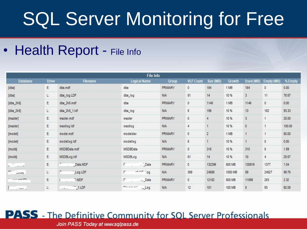• Health Report - File Info

|                                                                                                                                                                                                                                                                                                                                 |              |                           | File Info                               |                |                  |                |         |                |                |         |
|---------------------------------------------------------------------------------------------------------------------------------------------------------------------------------------------------------------------------------------------------------------------------------------------------------------------------------|--------------|---------------------------|-----------------------------------------|----------------|------------------|----------------|---------|----------------|----------------|---------|
| <b>Database</b>                                                                                                                                                                                                                                                                                                                 | <b>Drive</b> | <b>Filename</b>           | <b>Logical Name</b>                     | <b>Group</b>   | <b>VLF Count</b> | Size (MB)      | Growth  | Used (MB)      | Empty (MB)     | % Empty |
| [dba]                                                                                                                                                                                                                                                                                                                           | E:           | dba.mdf                   | dba                                     | <b>PRIMARY</b> | $\mathbf{0}$     | 184            | 1 MB    | 184            | $\mathbf{0}$   | 0.00    |
| [dba]                                                                                                                                                                                                                                                                                                                           | L.           | dba_log.LDF               | dba_log                                 | <b>N/A</b>     | 51               | 14             | 10 %    | 3              | 11             | 78.57   |
| $[dba_2k5]$                                                                                                                                                                                                                                                                                                                     | E:           | dba_2k5.mdf               | dba                                     | <b>PRIMARY</b> | 0                | 1146           | 1 MB    | 1146           | $\mathbf{0}$   | 0.00    |
| $[dba_2k5]$                                                                                                                                                                                                                                                                                                                     | L.           | dba_2k5_1.ldf             | dba_log                                 | <b>N/A</b>     | $\bf 8$          | 195            | 10 %    | 13             | 182            | 93.33   |
| [master]                                                                                                                                                                                                                                                                                                                        | E:           | master.mdf                | master                                  | <b>PRIMARY</b> | 0                | $\overline{4}$ | 10%     | 3              | $\overline{1}$ | 25.00   |
| [master]                                                                                                                                                                                                                                                                                                                        | E:           | mastlog.ldf               | mastlog                                 | <b>N/A</b>     | 4                | $\mathbf{1}$   | 10 %    | $\mathbf{0}$   |                | 100.00  |
| [model]                                                                                                                                                                                                                                                                                                                         | E.           | model.mdf                 | modeldev                                | <b>PRIMARY</b> | $\mathbf 0$      | $\overline{2}$ | 1 MB    | $\overline{1}$ |                | 50.00   |
| [model]                                                                                                                                                                                                                                                                                                                         | E:           | modellog.ldf              | modellog                                | <b>N/A</b>     | $\mathsf{6}$     | $\overline{1}$ | 10 %    | $\overline{1}$ | $\mathbf{0}$   | 0.00    |
| [msdb]                                                                                                                                                                                                                                                                                                                          | E.           | MSDBData.mdf              | MSDBData                                | <b>PRIMARY</b> | $\mathbf{0}$     | 315            | 10%     | 310            | 5              | 1.59    |
| [msdb]                                                                                                                                                                                                                                                                                                                          | E:           | MSDBLog.Idf               | MSDBLog                                 | <b>N/A</b>     | 51               | 14             | 10 %    | 10             | 4              | 28.57   |
| $\begin{array}{ccc} 0 & 0 & 0 & 0 \\ 0 & 0 & 0 & 0 \\ 0 & 0 & 0 & 0 \\ 0 & 0 & 0 & 0 \\ 0 & 0 & 0 & 0 \\ 0 & 0 & 0 & 0 \\ 0 & 0 & 0 & 0 \\ 0 & 0 & 0 & 0 \\ 0 & 0 & 0 & 0 \\ 0 & 0 & 0 & 0 & 0 \\ 0 & 0 & 0 & 0 & 0 \\ 0 & 0 & 0 & 0 & 0 \\ 0 & 0 & 0 & 0 & 0 & 0 \\ 0 & 0 & 0 & 0 & 0 & 0 \\ 0 & 0 & 0 & 0 & 0 & 0 \\ 0 & 0 &$ | E:           | Data.MDF                  | . Data                                  | <b>PRIMARY</b> | $\mathbf{0}$     | 132296         | 500 MB  | 130919         | 1377           | 1.04    |
| $\sim$<br><b>HEALT</b>                                                                                                                                                                                                                                                                                                          | L.           | Log.LDF                   | $-$ <sup>11 m</sup> m <sup>-1</sup> .0g | <b>N/A</b>     | 389              | 24586          | 1000 MB | 59             | 24527          | 99.76   |
| $- - - - - - + 1D1$                                                                                                                                                                                                                                                                                                             | E:           | 7.MDF                     | _Data                                   | <b>PRIMARY</b> | $\mathbf{0}$     | 12182          | 500 MB  | 11899          | 283            | 2.32    |
| $\overline{\phantom{a}}$                                                                                                                                                                                                                                                                                                        | L.           | $\ldots$ , $\ldots$ 1.LDF | December of<br>$-Log$                   | <b>N/A</b>     | 12               | 101            | 100 MB  | 8              | 93             | 92.08   |

### **PASS** - The Definitive Community for SOL Server Professionals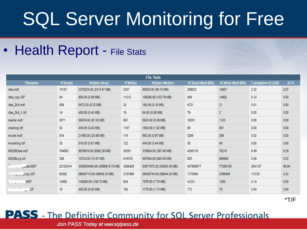• Health Report - File Stats

| <b>File Stats</b> |          |                               |          |                           |                   |                    |                    |            |  |
|-------------------|----------|-------------------------------|----------|---------------------------|-------------------|--------------------|--------------------|------------|--|
| Filename          | # Reads  | <b>KBytes Read</b>            | # Writes | <b>KBytes Written</b>     | IO Read Wait (MS) | IO Write Wait (MS) | Cumulative IO (GB) | <b>10%</b> |  |
| dba.mdf           | 18157    | 2370224.00 (2314.67 MB)       | 2307     | 60520.00 (59.10 MB)       | 298023            | 10557              | 2.32               | 0.07       |  |
| dba_log.LDF       | 84       | 908.00 (0.89 MB)              | 11212    | 106280.00 (103.79 MB)     | 408               | 14862              | 0.10               | 0.00       |  |
| dba_2k5.mdf       | 809      | 6472.00 (6.32 MB)             | 20       | 160.00 (0.16 MB)          | 4721              | 21                 | 0.01               | 0.00       |  |
| dba_2k5_1.ldf     | 14       | 409.00 (0.40 MB)              | 19       | 64.00 (0.06 MB)           | 79                | $\overline{2}$     | 0.00               | 0.00       |  |
| master.mdf        | 3071     | 58576.00 (57.20 MB)           | 657      | 5520.00 (5.39 MB)         | 18281             | 1123               | 0.06               | 0.00       |  |
| mastlog.idf       | 32       | 436.00 (0.43 MB)              | 1187     | 1554.00 (1.52 MB)         | 68                | 501                | 0.00               | 0.00       |  |
| model.mdf         | 816      | 21480.00 (20.98 MB)           | 118      | 992.00 (0.97 MB)          | 3269              | 256                | 0.02               | 0.00       |  |
| modellog.idf      | 33       | 518.00 (0.51 MB)              | 122      | 449.00 (0.44 MB)          | 35                | 48                 | 0.00               | 0.00       |  |
| MSDBData.mdf      | 764852   | 9576816.00 (9352.36 MB)       | 25291    | 376504.00 (367.68 MB)     | 4268116           | 76210              | 9.49               | 0.29       |  |
| MSDBLog.Idf       | 286      | 10724.00 (10.47 MB)           | 618315   | 597084.00 (583.09 MB)     | 883               | 566555             | 0.58               | 0.02       |  |
| Juta MDF          | 20120414 | 3030854384.00 (2959818.73 MB) | 3355426  | 53917072.00 (52653.39 MB) | 407658677         | 77380139           | 2941.87            | 90.94      |  |
| Log.LDF           | 58362    | 58004713.00 (56645.23 MB)     | 3191968  | 58003744.00 (56644.28 MB) | 1170894           | 2498406            | 110.63             | 3.42       |  |
| <b>MDF</b>        | 16462    | 143088.00 (139.73 MB)         | 804      | 7976.00 (7.79 MB)         | 41231             | 1280               | 0.14               | 0.00       |  |
| $-$ .DF           | 18       | 425.00 (0.42 MB)              | 105      | 1770.00 (1.73 MB)         | 172               | 78                 | 0.00               | 0.00       |  |

### **PASS** - The Definitive Community for SOL Server Professionals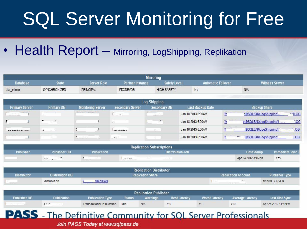• Health Report - Mirroring, LogShipping, Replikation

|                         |                             |                                                                         |                          | <b>Mirroring</b>                 |                           |                        |                          |              |  |
|-------------------------|-----------------------------|-------------------------------------------------------------------------|--------------------------|----------------------------------|---------------------------|------------------------|--------------------------|--------------|--|
| Database                | <b>State</b><br>Server Role |                                                                         | <b>Partner Instance</b>  | <b>Safety Level</b>              | <b>Automatic Failover</b> |                        | <b>Witness Server</b>    |              |  |
| dba_mirror              | SYNCHRONIZED                | PRINCIPAL                                                               | <b>PDXDEVDB</b>          | <b>HIGH SAFETY</b>               | No                        |                        | <b>N/A</b>               |              |  |
|                         |                             |                                                                         |                          | <b>Log Shipping</b>              |                           |                        |                          |              |  |
| <b>Primary Server</b>   | <b>Primary DB</b>           | <b>Monitoring Server</b>                                                | <b>Secondary Server</b>  | <b>Secondary DB</b>              | Last Backup Date          |                        | <b>Backup Share</b>      |              |  |
| $\mathbb{R}^n$<br>$---$ |                             | --------------                                                          | $\overline{\phantom{a}}$ | $\overline{a}$                   | Jan 18 2013 6:00AM        | W <sub>5</sub><br>$+1$ | hS\SQLBAK\LogShipping\   | $-TLOG$      |  |
| ε.                      | $\overline{a}$<br>$-1$      |                                                                         | 1.11                     | $^{-1}$                          | Jan 18 2013 6:00AM        | 1.1.1<br>$\sqrt{16}$   | \n\$\SQLBAK\LogShipping\ | $-06$        |  |
| ---------------         | 其 造物                        | ÷,<br>.л                                                                | $\rightarrow$            | 상                                | Jan 18 2013 6:00AM        | and the state<br>W     | IS\SQLBAK\LogShipping\   | $2^{2} - 26$ |  |
| $P = 1$ , and a summary |                             | 92929-2022<br><b>Service</b><br><b><i><u><u>In anno 100</u></u></i></b> | $U_{\lambda}$            |                                  | Jan 18 2013 6:00AM        | 11<br>$1 - 1$          | 1S\SQLBAK\LogShipping    | TLOG         |  |
|                         |                             |                                                                         |                          | <b>Replication Subscriptions</b> |                           |                        |                          |              |  |
| <b>Duklinker</b>        | <b>Building box BB</b>      | Dublington,                                                             |                          |                                  | Distribution Ish          |                        | Data Phomes              |              |  |

| <b>INGNITYQUOIL JUDJUIPUUIS</b> |                          |                                   |                                                                 |                    |                 |  |  |  |  |  |
|---------------------------------|--------------------------|-----------------------------------|-----------------------------------------------------------------|--------------------|-----------------|--|--|--|--|--|
| Publisher                       | <b>Publisher DB</b>      | <b>Publication</b>                | <b>Distribution Job</b>                                         | Date Stamp         | Immediate Sync? |  |  |  |  |  |
|                                 | 14.11.2<br>1.5 Min. 2010 | <b>South Ave.</b><br>State of the | 2012/07/08<br>11.11.8<br>1년 개월 18<br>we will be the first time. | Apr 24 2012 3:45PM | Yes.            |  |  |  |  |  |

|                                                                   |                        | <b>Replication Distributor</b> |                                           |                       |
|-------------------------------------------------------------------|------------------------|--------------------------------|-------------------------------------------|-----------------------|
| <b>Distributor</b>                                                | <b>Distribution DB</b> | <b>Repication Share</b>        | <b>Replication Account</b>                | <b>Publisher Type</b> |
| $\overline{\phantom{a}}$<br><b>CONTRACTOR</b><br><b>PERMIT DE</b> | distribution           | ReplData                       | $-1$<br><b>STORY</b><br><b>STATISTICS</b> | MSSQLSERVER           |

|                                              | <b>Replication Publisher</b> |                                |               |                 |                     |                      |                        |                       |  |  |  |  |
|----------------------------------------------|------------------------------|--------------------------------|---------------|-----------------|---------------------|----------------------|------------------------|-----------------------|--|--|--|--|
| <b>Publisher DB</b>                          | Publication                  | <b>Publication Type</b>        | <b>Status</b> | <b>Warnings</b> | <b>Best Latency</b> | <b>Worst Latency</b> | <b>Average Latency</b> | <b>Last Dist Sync</b> |  |  |  |  |
| The most considering particular to an extent | 44.417<br>$\mathbf{r}$       | Transactional Publication Idle |               | <b>N/A</b>      | 710                 | 710                  | 710                    | Apr 24 2012 11:46PM   |  |  |  |  |

### **PASS** - The Definitive Community for SOL Server Professionals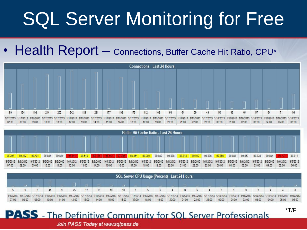• Health Report - Connections, Buffer Cache Hit Ratio, CPU\*





|       | SQL Server CPU Usage (Percent) - Last 24 Hours |       |       |       |       |       |       |       |                 |       |       |       |       |       |       |       |       |       |       |       |       |                                                                                                                                                                                                                                          |       |
|-------|------------------------------------------------|-------|-------|-------|-------|-------|-------|-------|-----------------|-------|-------|-------|-------|-------|-------|-------|-------|-------|-------|-------|-------|------------------------------------------------------------------------------------------------------------------------------------------------------------------------------------------------------------------------------------------|-------|
|       |                                                |       |       |       |       |       |       |       |                 |       |       |       |       |       |       |       |       |       |       |       |       |                                                                                                                                                                                                                                          |       |
|       |                                                |       |       |       | 25    | 12    |       | 10    | 10 <sup>1</sup> |       |       |       |       | 14    |       |       |       |       |       |       |       |                                                                                                                                                                                                                                          |       |
| 07:00 | 08:00                                          | 09:00 | 10:00 | 11:00 | 12.00 | 13:00 | 14:00 | 15:00 | 16:00           | 17:00 | 18:00 | 19:00 | 20:00 | 21:00 | 22:00 | 23:00 | 00:00 | 01:00 | 02:00 | 03:00 | 04:00 | 1/17/2013 1/17/2013 1/17/2013 1/17/2013 1/17/2013 1/17/2013 1/17/2013 1/17/2013 1/17/2013 1/17/2013 1/17/2013 1/17/2013 1/17/2013 1/17/2013 1/17/2013 1/17/2013 1/17/2013 1/17/2013 1/17/2013 1/17/2013 1/17/2013 1/17/2013 1/1<br>05:00 | 06:00 |

### **PASS** - The Definitive Community for SOL Server Professionals

\*T/F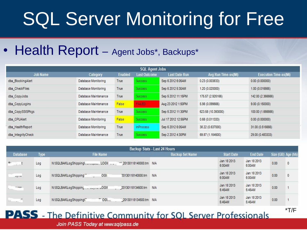• Health Report – Agent Jobs\*, Backups\*

| <b>SQL Agent Jobs</b> |                      |                |                     |                      |                     |                              |  |  |  |  |  |
|-----------------------|----------------------|----------------|---------------------|----------------------|---------------------|------------------------------|--|--|--|--|--|
| <b>Job Name</b>       | Category             | <b>Enabled</b> | <b>Last Outcome</b> | <b>Last Date Run</b> | Avg Run Time-ss(Mi) | <b>Execution Time-ss(Mi)</b> |  |  |  |  |  |
| dba BlockingAlert     | Database Monitoring  | True           | <b>Success</b>      | Sep 6 2012 6:05AM    | 0.23(0.003833)      | 0.00(0.000000)               |  |  |  |  |  |
| dba CheckFiles        | Database Monitoring  | True           | <b>Success</b>      | Sep 6 2012 5:30AM    | 1.20 (0.020000)     | 1.00 (0.016666)              |  |  |  |  |  |
| dba CopyJobs          | Database Maintenance | True           | <b>Success</b>      | Sep 5 2012 11:15PM   | 175.57 (2.926166)   | 142.00 (2.366666)            |  |  |  |  |  |
| dba_CopyLogins        | Database Maintenance | False          | <b>FALRO</b>        | Aug 23 2012 1:50PM   | 5.98 (0.099666)     | 9.00(0.150000)               |  |  |  |  |  |
| dba_CopySSISPkgs      | Database Maintenance | True           | <b>Success</b>      | Sep 5 2012 11:30PM   | 623.58 (10.393000)  | 100.00 (1.666666)            |  |  |  |  |  |
| dba CPUAlert          | Database Monitoring  | False          | <b>Success</b>      | Jul 17 2012 12:55PM  | 0.68(0.011333)      | 0.00(0.000000)               |  |  |  |  |  |
| dba HealthReport      | Database Monitoring  | True           | <b>InProcess</b>    | Sep 6 2012 6:05AM    | 38.22 (0.637000)    | 31.00 (0.516666)             |  |  |  |  |  |
| dba IntegrityCheck    | Database Maintenance | True           | <b>Success</b>      | Sep 2 2012 4:30PM    | 69.87 (1.164500)    | 29.00 (0.483333)             |  |  |  |  |  |

|                                                              | Backup Stats - Last 24 Hours |                                                               |                        |                       |                       |                    |              |  |  |  |  |  |  |
|--------------------------------------------------------------|------------------------------|---------------------------------------------------------------|------------------------|-----------------------|-----------------------|--------------------|--------------|--|--|--|--|--|--|
| <b>Database</b>                                              | <b>Type</b>                  | <b>File Name</b>                                              | <b>Backup Set Name</b> | <b>Start Date</b>     | <b>End Date</b>       | Size (GB) Age (hh) |              |  |  |  |  |  |  |
| $\blacksquare$ .<br>$\mathcal{L}$ . The set of $\mathcal{L}$ | Log                          |                                                               |                        | Jan 18 2013<br>6:00AM | Jan 18 2013<br>6:00AM | 0.00               | $\mathbf{0}$ |  |  |  |  |  |  |
| $-21114$                                                     | Log                          | N:\SQLBAK\LogShipping'<br>OGY<br>20130118140000.trn<br>$\sim$ | <b>N/A</b>             | Jan 18 2013<br>6:00AM | Jan 18 2013<br>6:00AM | 0.00               | $\mathbf{0}$ |  |  |  |  |  |  |
| $-$                                                          | Log                          | 20130118134500.trn                                            | <b>N/A</b>             | Jan 18 2013<br>5:45AM | Jan 18 2013<br>5:45AM | 0.00               |              |  |  |  |  |  |  |
| $\mathcal{L}_{\mathbf{z},\mathbf{z}}$ .<br>.4                | Log                          | TOGL.<br>20130118134500.trn N/A<br>N:\SQLBAK\LogShipping\     |                        | Jan 18 2013<br>5:45AM | Jan 18 2013<br>5:45AM | 0.00               |              |  |  |  |  |  |  |

\*T/F

### **PASS** - The Definitive Community for SOL Server Professionals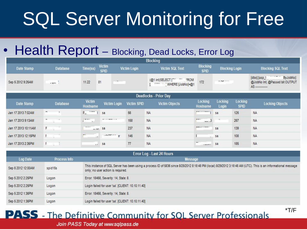### • Health Report – Blocking, Dead Locks, Error Log

|                       |                 |                           |                                                       |                    | <b>Blocking</b>                                   |                                    |                       |                        |                                                                    |  |  |  |
|-----------------------|-----------------|---------------------------|-------------------------------------------------------|--------------------|---------------------------------------------------|------------------------------------|-----------------------|------------------------|--------------------------------------------------------------------|--|--|--|
| Date Stamp            | <b>Database</b> | Time(ss)                  | <b>Victim</b><br><b>SPID</b>                          | Victim Login       | <b>Victim SQL Text</b>                            | <b>Blocking</b><br><b>SPID</b>     | <b>Blocking Login</b> |                        | <b>Blocking SQL Text</b>                                           |  |  |  |
| Sep 5 2012 9:26AM     | $-$ ywy         | 11.22                     | $\mathcal{P}^{\bullet}$ .<br>81                       |                    | <b>FROM</b><br>(@1 int)SELECT<br>WHERE [JobNo]=@1 | 172                                | 11.79722222           |                        | [dbo].[usp_l<br>ByJobNol<br>@JobNo Int, @Passed bit OUTPUT<br>$AS$ |  |  |  |
| Deadlocks - Prior Day |                 |                           |                                                       |                    |                                                   |                                    |                       |                        |                                                                    |  |  |  |
| Date Stamp            | <b>Database</b> | <b>Victim</b><br>Hostname | Victim Login                                          | <b>Victim SPID</b> | <b>Victim Objects</b>                             | Locking<br>Hostname                | Locking<br>Login      | Locking<br><b>SPID</b> | <b>Locking Objects</b>                                             |  |  |  |
| Jan 17 2013 7:02AM    | $\overline{ }$  | P.                        | sa                                                    | 56                 | <b>NA</b>                                         | <b>British Advised Association</b> | 5a                    | 126                    | <b>NA</b>                                                          |  |  |  |
| Jan 17 2013 9:13AM    | -               | $\cdots$<br>G.            | $\mathbf{w}$ , and the second control of $\mathbf{w}$ | 158                | <b>NA</b>                                         | $- - -$                            | $\sim$                | 267                    | <b>NA</b>                                                          |  |  |  |
| Jan 17 2013 10:11AM   | F<br>滋          | $-$<br>$-100$             | sa                                                    | 237                | <b>NA</b>                                         | <b>PUPULATION COMMENT</b>          | sa                    | 139                    | <b>NA</b>                                                          |  |  |  |
| Jan 17 2013 12:15PM   | $\mathbf{F}$    | $-$<br>vil.               | Launnary SE                                           | 146                | <b>NA</b>                                         |                                    | sa                    | 108                    | <b>NA</b>                                                          |  |  |  |
| Jan 17 2013 2:35PM    |                 | $\sim$                    | sa                                                    | 77                 | <b>NA</b>                                         |                                    | sa                    | 185                    | <b>NA</b>                                                          |  |  |  |

| Error Log - Last 24 Hours |              |                                                                                                                                                                                                      |  |  |  |  |  |  |  |  |
|---------------------------|--------------|------------------------------------------------------------------------------------------------------------------------------------------------------------------------------------------------------|--|--|--|--|--|--|--|--|
| Log Date                  | Process Info | Message                                                                                                                                                                                              |  |  |  |  |  |  |  |  |
| Sep 6 2012 12:00AM        | spid15s      | This instance of SQL Server has been using a process ID of 5836 since 8/28/2012 8:18:48 PM (local) 8/29/2012 3:18:48 AM (UTC). This is an informational message<br>only; no user action is required. |  |  |  |  |  |  |  |  |
| Sep 5 2012 2:25PM         | Logon        | Error: 18456, Severity: 14, State: 8.                                                                                                                                                                |  |  |  |  |  |  |  |  |
| Sep 5 2012 2:25PM         | Logon        | Login failed for user 'sa'. [CLIENT: 10.10.11.40]                                                                                                                                                    |  |  |  |  |  |  |  |  |
| Sep 5 2012 1:36PM         | Logon        | Error: 18456, Severity: 14, State: 8.                                                                                                                                                                |  |  |  |  |  |  |  |  |
| Sep 5 2012 1:36PM         | Logon        | Login failed for user 'sa', [CLIENT: 10.10.11.40]                                                                                                                                                    |  |  |  |  |  |  |  |  |

\*T/F

### **PASS** - The Definitive Community for SOL Server Professionals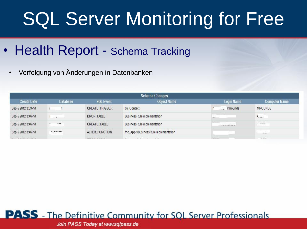- Health Report Schema Tracking
	- Verfolgung von Änderungen in Datenbanken

|                    | <b>Schema Changes</b> |                  |                                     |                                     |                             |  |  |  |  |  |  |
|--------------------|-----------------------|------------------|-------------------------------------|-------------------------------------|-----------------------------|--|--|--|--|--|--|
| <b>Create Date</b> | <b>Database</b>       | <b>SQL Event</b> | <b>Object Name</b>                  | <b>Login Name</b>                   | <b>Computer Name</b>        |  |  |  |  |  |  |
| Sep 5 2012 3:09PM  |                       | CREATE_TRIGGER   | tiu Contact                         | <i><b>Imrounds</b></i><br>22        | <b>MROUNDS</b>              |  |  |  |  |  |  |
| Sep 5 2012 3:46PM  |                       | DROP TABLE       | <b>BusinessRuleImplementation</b>   | $\cdots$                            | $\lambda$                   |  |  |  |  |  |  |
| Sep 5 2012 3:46PM  | المحدد<br>$\sim$      | CREATE TABLE     | BusinessRuleImplementation          | and the con-<br>a composition of an | 10000                       |  |  |  |  |  |  |
| Sep 5 2012 3:46PM  | "Industries"          | ALTER FUNCTION   | fnc_ApplyBusinessRuleImplementation |                                     | .                           |  |  |  |  |  |  |
|                    |                       |                  |                                     | <b>Contract Contract</b>            | <b>TANK STAR</b><br>$- - -$ |  |  |  |  |  |  |

### **PASS** - The Definitive Community for SOL Server Professionals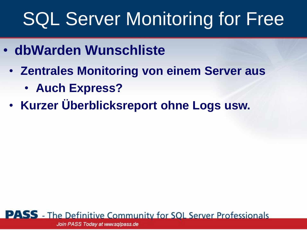- **dbWarden Wunschliste**
	- **Zentrales Monitoring von einem Server aus**
		- **Auch Express?**
	- **Kurzer Überblicksreport ohne Logs usw.**

**PASS** - The Definitive Community for SQL Server Professionals Join PASS Today at www.sqlpass.de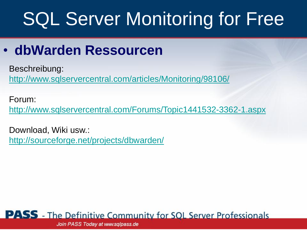### • **dbWarden Ressourcen**

Beschreibung:

<http://www.sqlservercentral.com/articles/Monitoring/98106/>

Forum:

<http://www.sqlservercentral.com/Forums/Topic1441532-3362-1.aspx>

Download, Wiki usw.: <http://sourceforge.net/projects/dbwarden/>

### **PASS** - The Definitive Community for SOL Server Professionals